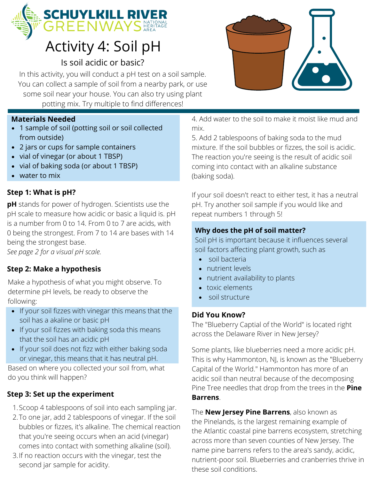

## Activity 4: Soil pH

#### Is soil acidic or basic?

In this activity, you will conduct a pH test on a soil sample. You can collect a sample of soil from a nearby park, or use some soil near your house. You can also try using plant potting mix. Try multiple to find differences!

#### **Materials Needed**

- 1 sample of soil (potting soil or soil collected from outside)
- 2 jars or cups for sample containers
- vial of vinegar (or about 1 TBSP)
- vial of baking soda (or about 1 TBSP)
- water to mix

#### **Step 1: What is pH?**

**pH** stands for power of hydrogen. Scientists use the pH scale to measure how acidic or basic a liquid is. pH is a number from 0 to 14. From 0 to 7 are acids, with 0 being the strongest. From 7 to 14 are bases with 14 being the strongest base.

*See page 2 for a visual pH scale.*

#### **Step 2: Make a hypothesis**

Make a hypothesis of what you might observe. To determine pH levels, be ready to observe the following:

- If your soil fizzes with vinegar this means that the soil has a akaline or basic pH
- If your soil fizzes with baking soda this means that the soil has an acidic pH
- If your soil does not fizz with either baking soda or vinegar, this means that it has neutral pH.

Based on where you collected your soil from, what do you think will happen?

#### **Step 3: Set up the experiment**

- 1. Scoop 4 tablespoons of soil into each sampling jar.
- 2. To one jar, add 2 tablespoons of vinegar. If the soil bubbles or fizzes, it's alkaline. The chemical reaction that you're seeing occurs when an acid (vinegar) comes into contact with something alkaline (soil).
- If no reaction occurs with the vinegar, test the 3. second jar sample for acidity.



4. Add water to the soil to make it moist like mud and mix.

5. Add 2 tablespoons of baking soda to the mud mixture. If the soil bubbles or fizzes, the soil is acidic. The reaction you're seeing is the result of acidic soil coming into contact with an alkaline substance (baking soda).

If your soil doesn't react to either test, it has a neutral pH. Try another soil sample if you would like and repeat numbers 1 through 5!

#### **Why does the pH of soil matter?**

Soil pH is important because it influences several soil factors affecting plant growth, such as

- soil bacteria
- nutrient levels
- nutrient availability to plants
- toxic elements
- soil structure

#### **Did You Know?**

The "Blueberry Captial of the World" is located right across the Delaware River in New Jersey?

Some plants, like blueberries need a more acidic pH. This is why Hammonton, NJ, is known as the "Blueberry Capital of the World." Hammonton has more of an acidic soil than neutral because of the decomposing Pine Tree needles that drop from the trees in the **Pine Barrens**.

The **New Jersey Pine Barrens**, also known as the Pinelands, is the largest remaining example of the Atlantic coastal pine barrens ecosystem, stretching across more than seven counties of New Jersey. The name pine barrens refers to the area's sandy, acidic, nutrient-poor soil. Blueberries and cranberries thrive in these soil conditions.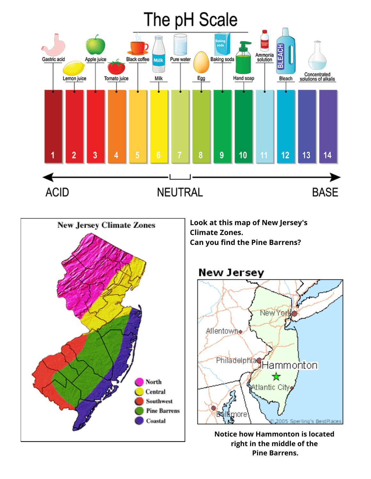# The pH Scale





**Look at this map of New Jersey's Climate Zones. Can you find the Pine Barrens?**

### **New Jersey**



**Notice how Hammonton is located right in the middle of the Pine Barrens.**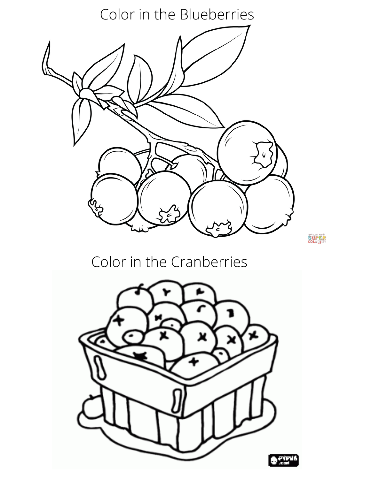Color in the Blueberries

**SUPER** 

## Color in the Cranberries

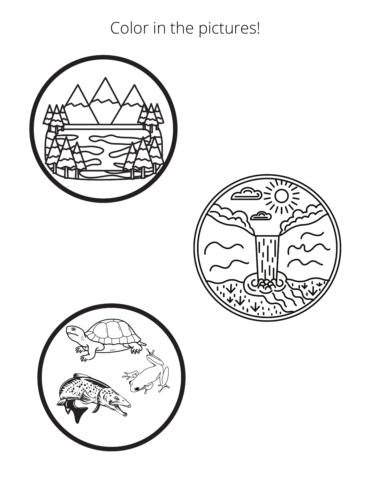Color in the pictures!